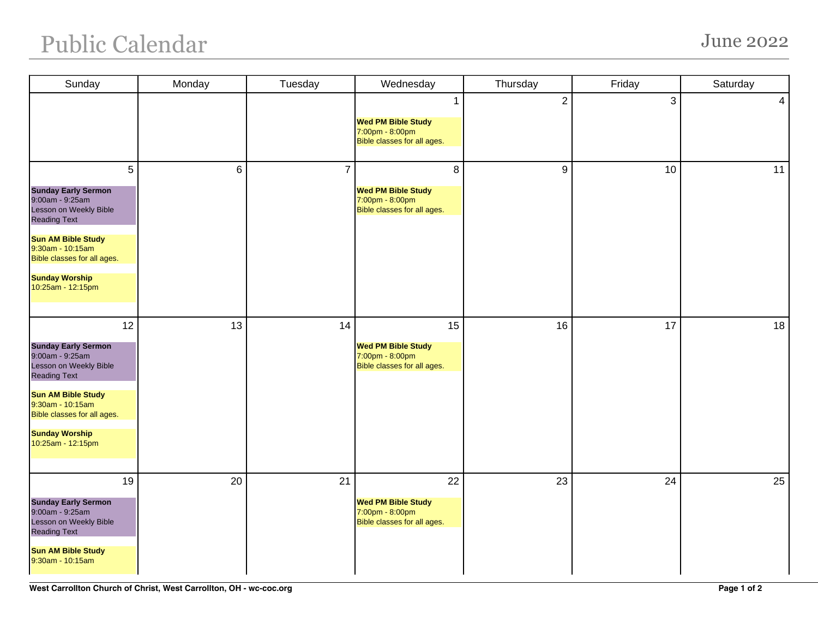## Public Calendar June 2022

| Sunday                                                                                                                                                                              | Monday         | Tuesday        | Wednesday                                                                         | Thursday       | Friday | Saturday       |
|-------------------------------------------------------------------------------------------------------------------------------------------------------------------------------------|----------------|----------------|-----------------------------------------------------------------------------------|----------------|--------|----------------|
|                                                                                                                                                                                     |                |                | 1<br><b>Wed PM Bible Study</b><br>7:00pm - 8:00pm<br>Bible classes for all ages.  | $\overline{2}$ | 3      | 4 <sup>1</sup> |
| 5<br><b>Sunday Early Sermon</b><br>9:00am - 9:25am<br>Lesson on Weekly Bible<br><b>Reading Text</b><br><b>Sun AM Bible Study</b><br>9:30am - 10:15am<br>Bible classes for all ages. | $6\phantom{1}$ | $\overline{7}$ | 8<br><b>Wed PM Bible Study</b><br>7:00pm - 8:00pm<br>Bible classes for all ages.  | 9              | 10     | 11             |
| <b>Sunday Worship</b><br>10:25am - 12:15pm                                                                                                                                          |                |                |                                                                                   |                |        |                |
| 12<br><b>Sunday Early Sermon</b><br>9:00am - 9:25am<br>Lesson on Weekly Bible<br><b>Reading Text</b>                                                                                | 13             | 14             | 15<br><b>Wed PM Bible Study</b><br>7:00pm - 8:00pm<br>Bible classes for all ages. | 16             | 17     | 18             |
| <b>Sun AM Bible Study</b><br>9:30am - 10:15am<br>Bible classes for all ages.<br><b>Sunday Worship</b>                                                                               |                |                |                                                                                   |                |        |                |
| 10:25am - 12:15pm                                                                                                                                                                   |                |                |                                                                                   |                |        |                |
| 19<br><b>Sunday Early Sermon</b><br>9:00am - 9:25am<br>Lesson on Weekly Bible<br><b>Reading Text</b><br><b>Sun AM Bible Study</b><br>9:30am - 10:15am                               | 20             | 21             | 22<br><b>Wed PM Bible Study</b><br>7:00pm - 8:00pm<br>Bible classes for all ages. | 23             | 24     | 25             |